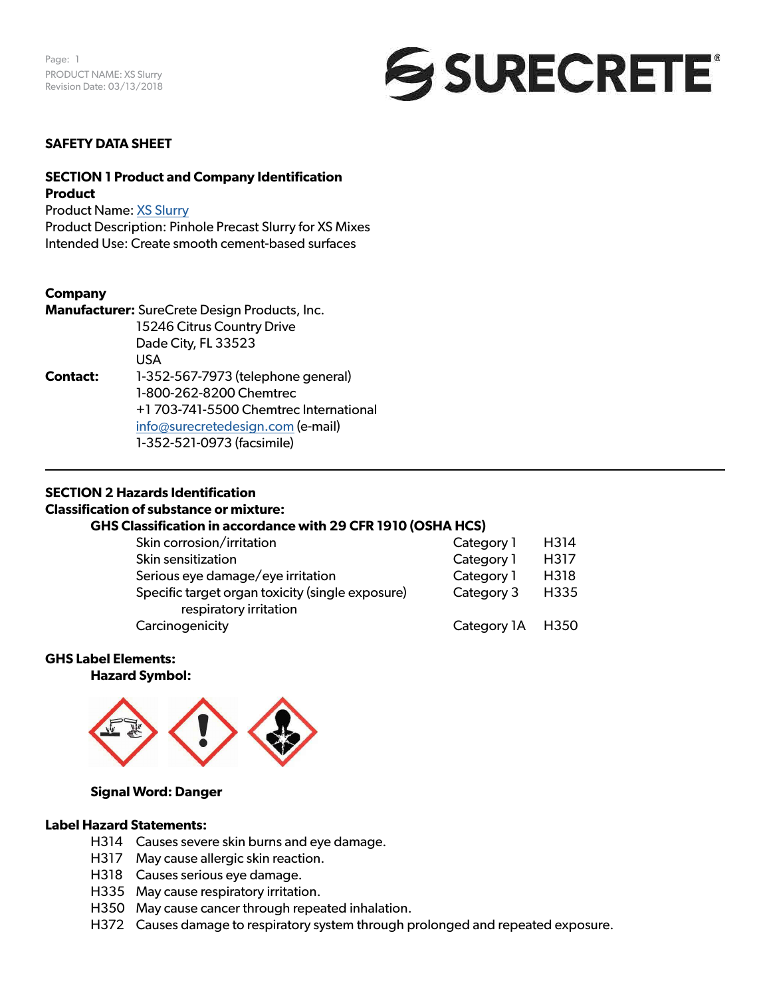

#### **SAFETY DATA SHEET**

# **SECTION 1 Product and Company Identification Product**

Product Name: [XS Slurry](https://www.surecretedesign.com/product/concrete-slurry-mix/)

Product Description: Pinhole Precast Slurry for XS Mixes Intended Use: Create smooth cement-based surfaces

#### **Company**

**Manufacturer:** SureCrete Design Products, Inc. 15246 Citrus Country Drive Dade City, FL 33523 USA **Contact:** 1-352-567-7973 (telephone general) 1-800-262-8200 Chemtrec +1 703-741-5500 Chemtrec International [info@surecretedesign.com](mailto:info%40surecretedesign.com?subject=XS%20Slurry%20-%20SDS%20Inquiry) (e-mail) 1-352-521-0973 (facsimile)

#### **SECTION 2 Hazards Identification**

#### **Classification of substance or mixture:**

# **GHS Classification in accordance with 29 CFR 1910 (OSHA HCS)**

| Skin corrosion/irritation                        | Category 1       | H314 |
|--------------------------------------------------|------------------|------|
| Skin sensitization                               | Category 1       | H317 |
| Serious eye damage/eye irritation                | Category 1       | H318 |
| Specific target organ toxicity (single exposure) | Category 3       | H335 |
| respiratory irritation                           |                  |      |
| Carcinogenicity                                  | Category 1A H350 |      |

#### **GHS Label Elements:**

**Hazard Symbol:** 



#### **Signal Word: Danger**

# **Label Hazard Statements:**

- H314 Causes severe skin burns and eye damage.
- H317 May cause allergic skin reaction.
- H318 Causes serious eye damage.
- H335 May cause respiratory irritation.
- H350 May cause cancer through repeated inhalation.
- H372 Causes damage to respiratory system through prolonged and repeated exposure.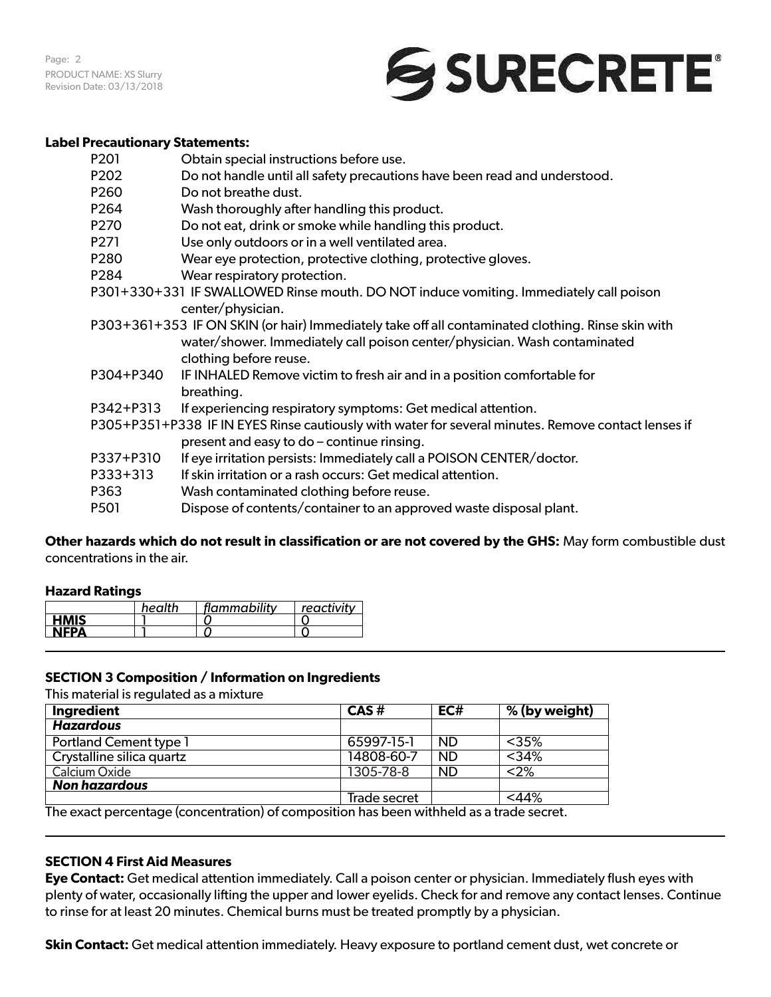Page: 2 PRODUCT NAME: XS Slurry Revision Date: 03/13/2018

# SURECRETE®

#### **Label Precautionary Statements:**

| P <sub>20</sub> 1 | Obtain special instructions before use.                                                                                                                                        |
|-------------------|--------------------------------------------------------------------------------------------------------------------------------------------------------------------------------|
| P202              | Do not handle until all safety precautions have been read and understood.                                                                                                      |
| P <sub>260</sub>  | Do not breathe dust.                                                                                                                                                           |
| P264              | Wash thoroughly after handling this product.                                                                                                                                   |
| P270              | Do not eat, drink or smoke while handling this product.                                                                                                                        |
| P <sub>271</sub>  | Use only outdoors or in a well ventilated area.                                                                                                                                |
| P280              | Wear eye protection, protective clothing, protective gloves.                                                                                                                   |
| P284              | Wear respiratory protection.                                                                                                                                                   |
|                   | P301+330+331 IF SWALLOWED Rinse mouth. DO NOT induce vomiting. Immediately call poison<br>center/physician.                                                                    |
|                   | P303+361+353 IF ON SKIN (or hair) Immediately take off all contaminated clothing. Rinse skin with<br>water/shower. Immediately call poison center/physician. Wash contaminated |
|                   | clothing before reuse.                                                                                                                                                         |
| P304+P340         | IF INHALED Remove victim to fresh air and in a position comfortable for<br>breathing.                                                                                          |
| P342+P313         | If experiencing respiratory symptoms: Get medical attention.                                                                                                                   |
|                   | P305+P351+P338 IF IN EYES Rinse cautiously with water for several minutes. Remove contact lenses if<br>present and easy to do - continue rinsing.                              |
| P337+P310         | If eye irritation persists: Immediately call a POISON CENTER/doctor.                                                                                                           |
| $P333+313$        | If skin irritation or a rash occurs: Get medical attention.                                                                                                                    |
| P363              | Wash contaminated clothing before reuse.                                                                                                                                       |
| P <sub>50</sub> 1 | Dispose of contents/container to an approved waste disposal plant.                                                                                                             |
|                   |                                                                                                                                                                                |

**Other hazards which do not result in classification or are not covered by the GHS:** May form combustible dust concentrations in the air.

# **Hazard Ratings**

|             | health | flammability | reactivity |
|-------------|--------|--------------|------------|
| <b>HMIS</b> |        |              |            |
| <b>NFPA</b> |        |              |            |

# **SECTION 3 Composition / Information on Ingredients**

This material is regulated as a mixture

| Ingredient                    | CAS#                      | EC#       | % (by weight) |
|-------------------------------|---------------------------|-----------|---------------|
| <b>Hazardous</b>              |                           |           |               |
| <b>Portland Cement type 1</b> | 65997-15-1                | ND.       | $<$ 35%       |
| Crystalline silica quartz     | 14808-60-7                | <b>ND</b> | $<$ 34%       |
| Calcium Oxide                 | 1305-78-8                 | <b>ND</b> | $<$ 2%        |
| <b>Non hazardous</b>          |                           |           |               |
| ÷.                            | Trade secret<br>$\ddotsc$ | $\cdots$  | $<$ 44%       |

The exact percentage (concentration) of composition has been withheld as a trade secret.

# **SECTION 4 First Aid Measures**

**Eye Contact:** Get medical attention immediately. Call a poison center or physician. Immediately flush eyes with plenty of water, occasionally lifting the upper and lower eyelids. Check for and remove any contact lenses. Continue to rinse for at least 20 minutes. Chemical burns must be treated promptly by a physician.

**Skin Contact:** Get medical attention immediately. Heavy exposure to portland cement dust, wet concrete or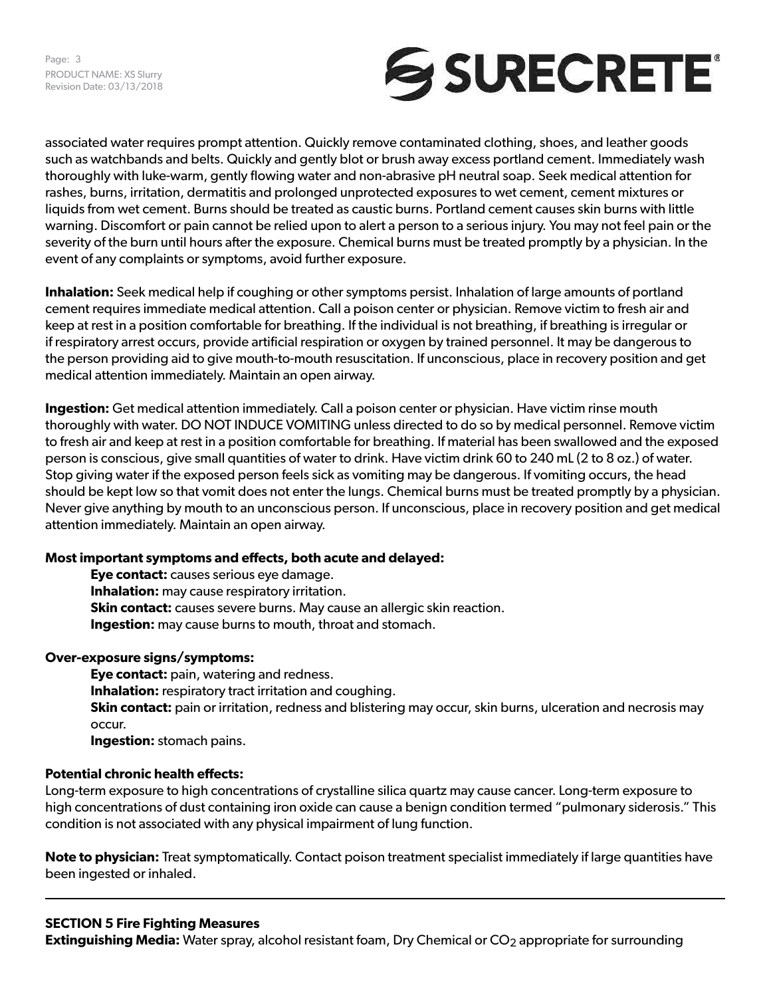Page: 3 PRODUCT NAME: XS Slurry Revision Date: 03/13/2018



associated water requires prompt attention. Quickly remove contaminated clothing, shoes, and leather goods such as watchbands and belts. Quickly and gently blot or brush away excess portland cement. Immediately wash thoroughly with luke-warm, gently flowing water and non-abrasive pH neutral soap. Seek medical attention for rashes, burns, irritation, dermatitis and prolonged unprotected exposures to wet cement, cement mixtures or liquids from wet cement. Burns should be treated as caustic burns. Portland cement causes skin burns with little warning. Discomfort or pain cannot be relied upon to alert a person to a serious injury. You may not feel pain or the severity of the burn until hours after the exposure. Chemical burns must be treated promptly by a physician. In the event of any complaints or symptoms, avoid further exposure.

**Inhalation:** Seek medical help if coughing or other symptoms persist. Inhalation of large amounts of portland cement requires immediate medical attention. Call a poison center or physician. Remove victim to fresh air and keep at rest in a position comfortable for breathing. If the individual is not breathing, if breathing is irregular or if respiratory arrest occurs, provide artificial respiration or oxygen by trained personnel. It may be dangerous to the person providing aid to give mouth-to-mouth resuscitation. If unconscious, place in recovery position and get medical attention immediately. Maintain an open airway.

**Ingestion:** Get medical attention immediately. Call a poison center or physician. Have victim rinse mouth thoroughly with water. DO NOT INDUCE VOMITING unless directed to do so by medical personnel. Remove victim to fresh air and keep at rest in a position comfortable for breathing. If material has been swallowed and the exposed person is conscious, give small quantities of water to drink. Have victim drink 60 to 240 mL (2 to 8 oz.) of water. Stop giving water if the exposed person feels sick as vomiting may be dangerous. If vomiting occurs, the head should be kept low so that vomit does not enter the lungs. Chemical burns must be treated promptly by a physician. Never give anything by mouth to an unconscious person. If unconscious, place in recovery position and get medical attention immediately. Maintain an open airway.

# **Most important symptoms and effects, both acute and delayed:**

**Eye contact:** causes serious eye damage. **Inhalation:** may cause respiratory irritation. **Skin contact:** causes severe burns. May cause an allergic skin reaction. **Ingestion:** may cause burns to mouth, throat and stomach.

# **Over-exposure signs/symptoms:**

**Eye contact:** pain, watering and redness. **Inhalation:** respiratory tract irritation and coughing. **Skin contact:** pain or irritation, redness and blistering may occur, skin burns, ulceration and necrosis may occur. **Ingestion:** stomach pains.

#### **Potential chronic health effects:**

Long-term exposure to high concentrations of crystalline silica quartz may cause cancer. Long-term exposure to high concentrations of dust containing iron oxide can cause a benign condition termed "pulmonary siderosis." This condition is not associated with any physical impairment of lung function.

**Note to physician:** Treat symptomatically. Contact poison treatment specialist immediately if large quantities have been ingested or inhaled.

# **SECTION 5 Fire Fighting Measures**

**Extinguishing Media:** Water spray, alcohol resistant foam, Dry Chemical or CO<sub>2</sub> appropriate for surrounding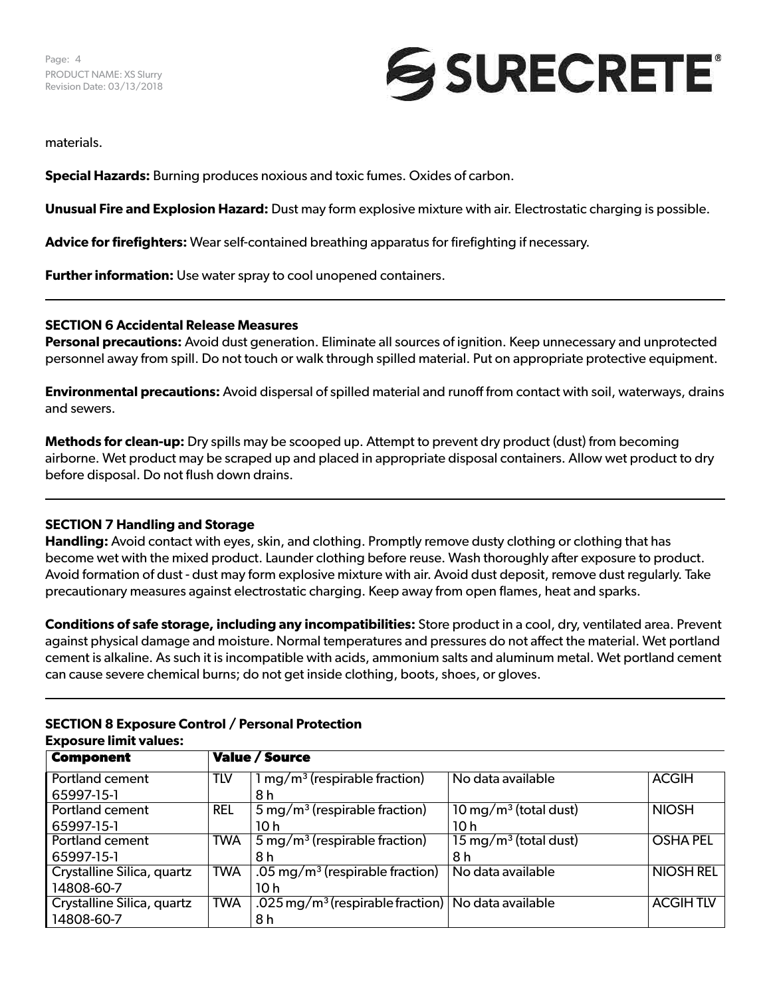

materials.

**Special Hazards:** Burning produces noxious and toxic fumes. Oxides of carbon.

**Unusual Fire and Explosion Hazard:** Dust may form explosive mixture with air. Electrostatic charging is possible.

**Advice for firefighters:** Wear self-contained breathing apparatus for firefighting if necessary.

**Further information:** Use water spray to cool unopened containers.

#### **SECTION 6 Accidental Release Measures**

**Personal precautions:** Avoid dust generation. Eliminate all sources of ignition. Keep unnecessary and unprotected personnel away from spill. Do not touch or walk through spilled material. Put on appropriate protective equipment.

**Environmental precautions:** Avoid dispersal of spilled material and runoff from contact with soil, waterways, drains and sewers.

**Methods for clean-up:** Dry spills may be scooped up. Attempt to prevent dry product (dust) from becoming airborne. Wet product may be scraped up and placed in appropriate disposal containers. Allow wet product to dry before disposal. Do not flush down drains.

#### **SECTION 7 Handling and Storage**

**Handling:** Avoid contact with eyes, skin, and clothing. Promptly remove dusty clothing or clothing that has become wet with the mixed product. Launder clothing before reuse. Wash thoroughly after exposure to product. Avoid formation of dust - dust may form explosive mixture with air. Avoid dust deposit, remove dust regularly. Take precautionary measures against electrostatic charging. Keep away from open flames, heat and sparks.

**Conditions of safe storage, including any incompatibilities:** Store product in a cool, dry, ventilated area. Prevent against physical damage and moisture. Normal temperatures and pressures do not affect the material. Wet portland cement is alkaline. As such it is incompatible with acids, ammonium salts and aluminum metal. Wet portland cement can cause severe chemical burns; do not get inside clothing, boots, shoes, or gloves.

| <b>Component</b>           |            | <b>Value / Source</b>                                            |                                     |                  |  |
|----------------------------|------------|------------------------------------------------------------------|-------------------------------------|------------------|--|
| Portland cement            | TLV        | $1 \,\mathrm{mg/m^3}$ (respirable fraction)                      | No data available                   | <b>ACGIH</b>     |  |
| 65997-15-1                 |            | 8 h                                                              |                                     |                  |  |
| <b>Portland cement</b>     | <b>REL</b> | $5 \,\mathrm{mg/m^3}$ (respirable fraction)                      | $10 \,\mathrm{mg/m^3}$ (total dust) | <b>NIOSH</b>     |  |
| 65997-15-1                 |            | 10 h                                                             | 10h                                 |                  |  |
| Portland cement            | <b>TWA</b> | $5 \,\mathrm{mg/m^3}$ (respirable fraction)                      | $15 \,\mathrm{mg/m^3}$ (total dust) | <b>OSHA PEL</b>  |  |
| 65997-15-1                 |            | 8 h                                                              | 8 h                                 |                  |  |
| Crystalline Silica, quartz | <b>TWA</b> | .05 mg/m <sup>3</sup> (respirable fraction)                      | No data available                   | <b>NIOSH REL</b> |  |
| 14808-60-7                 |            | 10 h                                                             |                                     |                  |  |
| Crystalline Silica, quartz | <b>TWA</b> | .025 mg/m <sup>3</sup> (respirable fraction)   No data available |                                     | <b>ACGIHTLV</b>  |  |
| 14808-60-7                 |            | 8 h                                                              |                                     |                  |  |

#### **SECTION 8 Exposure Control / Personal Protection Exposure limit values:**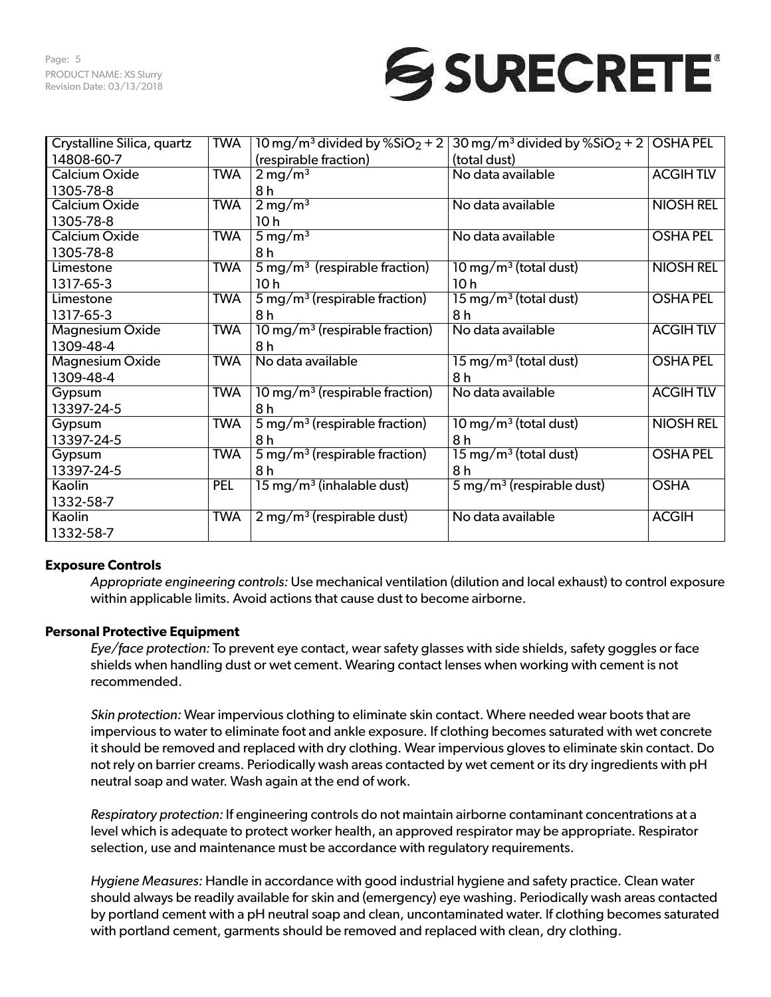# SURECRETE®

| Crystalline Silica, quartz | <b>TWA</b> | 10 mg/m <sup>3</sup> divided by $%SiO2 + 2$ | $30 \,\mathrm{mg/m^3}$ divided by %SiO <sub>2</sub> + 2 | <b>OSHA PEL</b>  |
|----------------------------|------------|---------------------------------------------|---------------------------------------------------------|------------------|
| 14808-60-7                 |            | (respirable fraction)                       | (total dust)                                            |                  |
| Calcium Oxide              | <b>TWA</b> | $2 \,\mathrm{mg/m^3}$                       | No data available                                       | <b>ACGIHTLV</b>  |
| 1305-78-8                  |            | 8 h                                         |                                                         |                  |
| Calcium Oxide              | <b>TWA</b> | $2 \,\mathrm{mg/m^3}$                       | No data available                                       | <b>NIOSH REL</b> |
| 1305-78-8                  |            | 10 <sub>h</sub>                             |                                                         |                  |
| Calcium Oxide              | <b>TWA</b> | $5 \,\mathrm{mg/m^3}$                       | No data available                                       | <b>OSHA PEL</b>  |
| 1305-78-8                  |            | 8h                                          |                                                         |                  |
| Limestone                  | <b>TWA</b> | $5 \,\mathrm{mg/m^3}$ (respirable fraction) | $10 \,\mathrm{mg/m^3}$ (total dust)                     | <b>NIOSH REL</b> |
| 1317-65-3                  |            | 10 <sub>h</sub>                             | 10 <sub>h</sub>                                         |                  |
| Limestone                  | <b>TWA</b> | $5 \,\mathrm{mg/m^3}$ (respirable fraction) | $15 \,\mathrm{mg/m^3}$ (total dust)                     | <b>OSHA PEL</b>  |
| 1317-65-3                  |            | 8h                                          | 8h                                                      |                  |
| Magnesium Oxide            | <b>TWA</b> | 10 mg/m <sup>3</sup> (respirable fraction)  | No data available                                       | <b>ACGIHTLV</b>  |
| 1309-48-4                  |            | 8 h                                         |                                                         |                  |
| <b>Magnesium Oxide</b>     | <b>TWA</b> | No data available                           | $15 \,\mathrm{mg/m^3}$ (total dust)                     | <b>OSHA PEL</b>  |
| 1309-48-4                  |            |                                             | 8 h                                                     |                  |
| Gypsum                     | <b>TWA</b> | 10 mg/m <sup>3</sup> (respirable fraction)  | No data available                                       | <b>ACGIHTLV</b>  |
| 13397-24-5                 |            | 8 h                                         |                                                         |                  |
| Gypsum                     | <b>TWA</b> | $5 \,\mathrm{mg/m^3}$ (respirable fraction) | $10 \,\mathrm{mg/m^3}$ (total dust)                     | <b>NIOSH REL</b> |
| 13397-24-5                 |            | 8h                                          | 8h                                                      |                  |
| Gypsum                     | <b>TWA</b> | $5 \,\mathrm{mg/m^3}$ (respirable fraction) | $15 \,\mathrm{mg/m^3}$ (total dust)                     | <b>OSHA PEL</b>  |
| 13397-24-5                 |            | 8 h                                         | 8 h                                                     |                  |
| Kaolin                     | <b>PEL</b> | $15 \,\mathrm{mg/m^3}$ (inhalable dust)     | $5 \,\mathrm{mg/m^3}$ (respirable dust)                 | <b>OSHA</b>      |
| 1332-58-7                  |            |                                             |                                                         |                  |
| Kaolin                     | <b>TWA</b> | $2 \,\mathrm{mg/m^3}$ (respirable dust)     | No data available                                       | <b>ACGIH</b>     |
| 1332-58-7                  |            |                                             |                                                         |                  |

# **Exposure Controls**

*Appropriate engineering controls:* Use mechanical ventilation (dilution and local exhaust) to control exposure within applicable limits. Avoid actions that cause dust to become airborne.

# **Personal Protective Equipment**

*Eye/face protection:* To prevent eye contact, wear safety glasses with side shields, safety goggles or face shields when handling dust or wet cement. Wearing contact lenses when working with cement is not recommended.

*Skin protection:* Wear impervious clothing to eliminate skin contact. Where needed wear boots that are impervious to water to eliminate foot and ankle exposure. If clothing becomes saturated with wet concrete it should be removed and replaced with dry clothing. Wear impervious gloves to eliminate skin contact. Do not rely on barrier creams. Periodically wash areas contacted by wet cement or its dry ingredients with pH neutral soap and water. Wash again at the end of work.

*Respiratory protection:* If engineering controls do not maintain airborne contaminant concentrations at a level which is adequate to protect worker health, an approved respirator may be appropriate. Respirator selection, use and maintenance must be accordance with regulatory requirements.

*Hygiene Measures:* Handle in accordance with good industrial hygiene and safety practice. Clean water should always be readily available for skin and (emergency) eye washing. Periodically wash areas contacted by portland cement with a pH neutral soap and clean, uncontaminated water. If clothing becomes saturated with portland cement, garments should be removed and replaced with clean, dry clothing.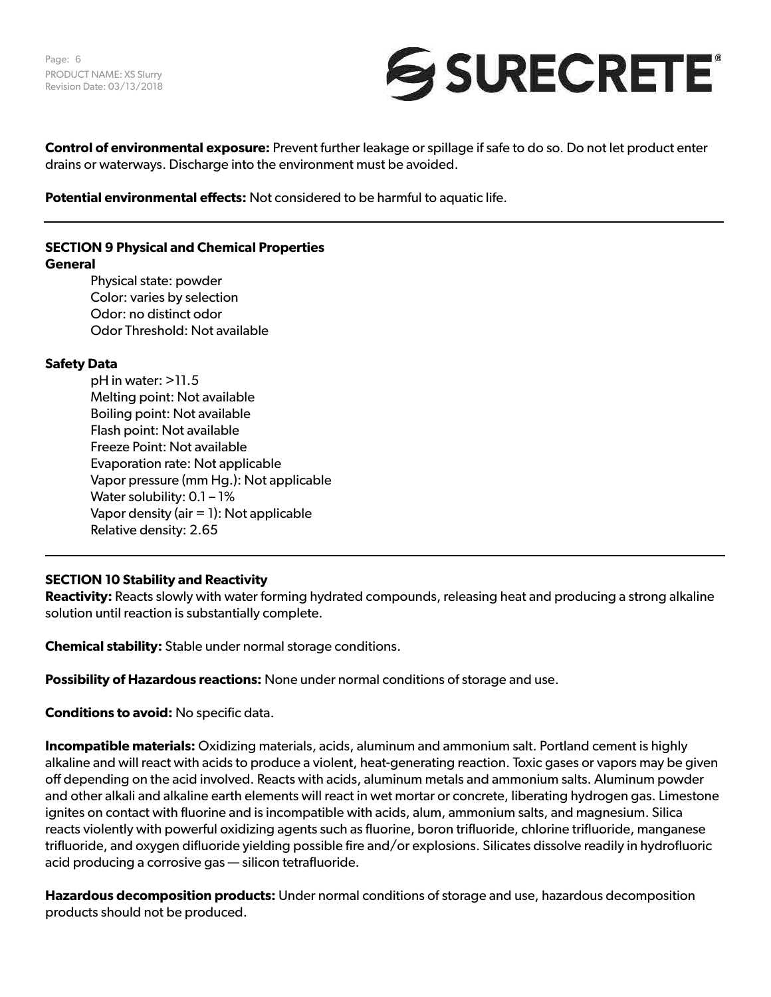

**Control of environmental exposure:** Prevent further leakage or spillage if safe to do so. Do not let product enter drains or waterways. Discharge into the environment must be avoided.

**Potential environmental effects:** Not considered to be harmful to aquatic life.

# **SECTION 9 Physical and Chemical Properties**

#### **General**

Physical state: powder Color: varies by selection Odor: no distinct odor Odor Threshold: Not available

# **Safety Data**

pH in water: >11.5 Melting point: Not available Boiling point: Not available Flash point: Not available Freeze Point: Not available Evaporation rate: Not applicable Vapor pressure (mm Hg.): Not applicable Water solubility: 0.1 - 1% Vapor density (air  $= 1$ ): Not applicable Relative density: 2.65

# **SECTION 10 Stability and Reactivity**

**Reactivity:** Reacts slowly with water forming hydrated compounds, releasing heat and producing a strong alkaline solution until reaction is substantially complete.

**Chemical stability:** Stable under normal storage conditions.

**Possibility of Hazardous reactions:** None under normal conditions of storage and use.

**Conditions to avoid:** No specific data.

**Incompatible materials:** Oxidizing materials, acids, aluminum and ammonium salt. Portland cement is highly alkaline and will react with acids to produce a violent, heat-generating reaction. Toxic gases or vapors may be given off depending on the acid involved. Reacts with acids, aluminum metals and ammonium salts. Aluminum powder and other alkali and alkaline earth elements will react in wet mortar or concrete, liberating hydrogen gas. Limestone ignites on contact with fluorine and is incompatible with acids, alum, ammonium salts, and magnesium. Silica reacts violently with powerful oxidizing agents such as fluorine, boron trifluoride, chlorine trifluoride, manganese trifluoride, and oxygen difluoride yielding possible fire and/or explosions. Silicates dissolve readily in hydrofluoric acid producing a corrosive gas — silicon tetrafluoride.

**Hazardous decomposition products:** Under normal conditions of storage and use, hazardous decomposition products should not be produced.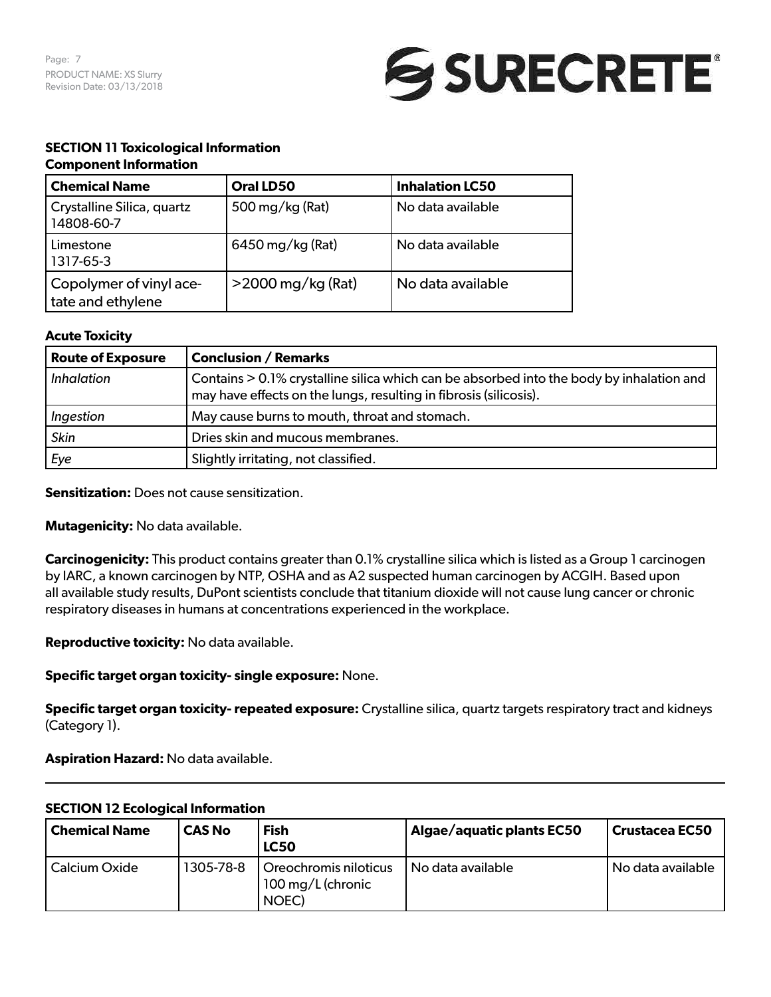

# **SECTION 11 Toxicological Information**

#### **Component Information**

| <b>Chemical Name</b>                         | Oral LD50            | <b>Inhalation LC50</b> |
|----------------------------------------------|----------------------|------------------------|
| Crystalline Silica, quartz<br>14808-60-7     | 500 mg/kg (Rat)      | No data available      |
| Limestone<br>1317-65-3                       | 6450 mg/kg (Rat)     | No data available      |
| Copolymer of vinyl ace-<br>tate and ethylene | $>$ 2000 mg/kg (Rat) | No data available      |

# **Acute Toxicity**

| <b>Route of Exposure</b> | <b>Conclusion / Remarks</b>                                                                                                                                   |
|--------------------------|---------------------------------------------------------------------------------------------------------------------------------------------------------------|
| <i>Inhalation</i>        | Contains > 0.1% crystalline silica which can be absorbed into the body by inhalation and<br>may have effects on the lungs, resulting in fibrosis (silicosis). |
| Ingestion                | May cause burns to mouth, throat and stomach.                                                                                                                 |
| <b>Skin</b>              | Dries skin and mucous membranes.                                                                                                                              |
| Eye                      | Slightly irritating, not classified.                                                                                                                          |

**Sensitization:** Does not cause sensitization.

**Mutagenicity:** No data available.

**Carcinogenicity:** This product contains greater than 0.1% crystalline silica which is listed as a Group 1 carcinogen by IARC, a known carcinogen by NTP, OSHA and as A2 suspected human carcinogen by ACGIH. Based upon all available study results, DuPont scientists conclude that titanium dioxide will not cause lung cancer or chronic respiratory diseases in humans at concentrations experienced in the workplace.

**Reproductive toxicity:** No data available.

**Specific target organ toxicity- single exposure:** None.

**Specific target organ toxicity- repeated exposure:** Crystalline silica, quartz targets respiratory tract and kidneys (Category 1).

# **Aspiration Hazard:** No data available.

| <u>v=v::v:: := =wv:vg:wd: ::::v:::::w::</u><br>  Chemical Name | <b>CAS No</b> | Fish<br><b>LC50</b>                                 | Algae/aquatic plants EC50 | <b>Crustacea EC50</b> |
|----------------------------------------------------------------|---------------|-----------------------------------------------------|---------------------------|-----------------------|
| Calcium Oxide                                                  | 1305-78-8     | Oreochromis niloticus<br>100 mg/L (chronic<br>NOEC) | No data available         | ' No data available   |

# **SECTION 12 Ecological Information**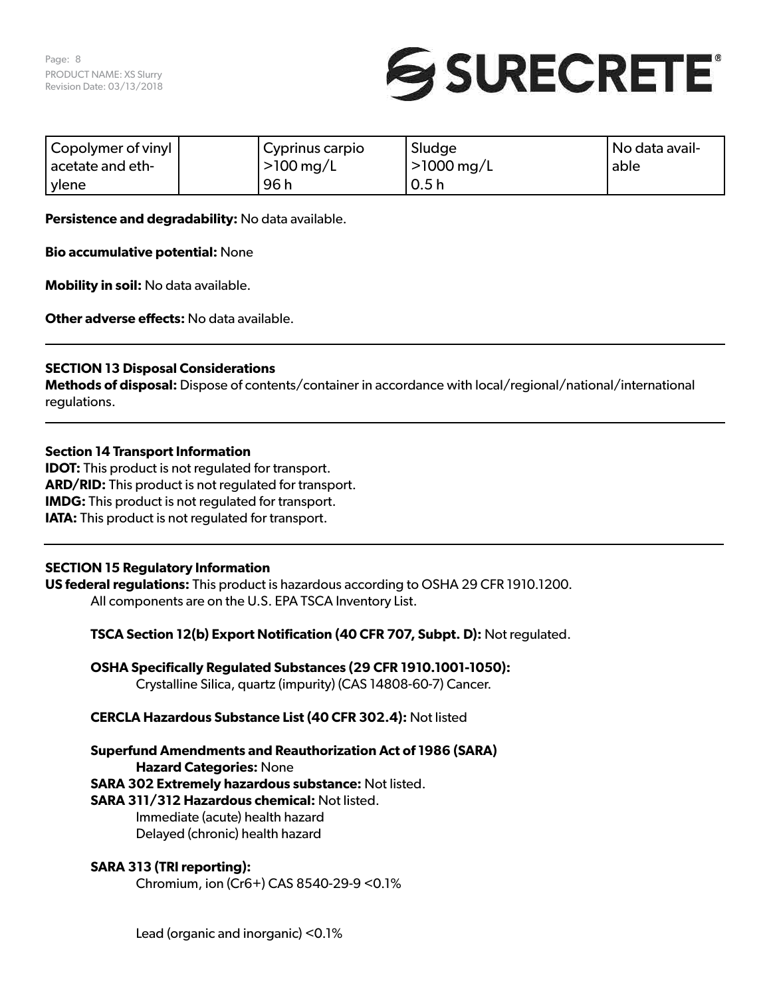

| Copolymer of vinyl | Cyprinus carpio | Sludge                  | No data avail- |
|--------------------|-----------------|-------------------------|----------------|
| acetate and eth-   | $>100$ mg/L     | $>1000 \,\mathrm{mg/L}$ | able           |
| ylene              | 96 h            | 0.5h                    |                |

**Persistence and degradability:** No data available.

**Bio accumulative potential:** None

**Mobility in soil:** No data available.

**Other adverse effects:** No data available.

# **SECTION 13 Disposal Considerations**

**Methods of disposal:** Dispose of contents/container in accordance with local/regional/national/international regulations.

#### **Section 14 Transport Information**

**IDOT:** This product is not regulated for transport. **ARD/RID:** This product is not regulated for transport. **IMDG:** This product is not regulated for transport. **IATA:** This product is not regulated for transport.

# **SECTION 15 Regulatory Information**

**US federal regulations:** This product is hazardous according to OSHA 29 CFR 1910.1200. All components are on the U.S. EPA TSCA Inventory List.

**TSCA Section 12(b) Export Notification (40 CFR 707, Subpt. D):** Not regulated.

**OSHA Specifically Regulated Substances (29 CFR 1910.1001-1050):** Crystalline Silica, quartz (impurity) (CAS 14808-60-7) Cancer.

**CERCLA Hazardous Substance List (40 CFR 302.4):** Not listed

**Superfund Amendments and Reauthorization Act of 1986 (SARA) Hazard Categories:** None

**SARA 302 Extremely hazardous substance:** Not listed.

# **SARA 311/312 Hazardous chemical:** Not listed.

Immediate (acute) health hazard Delayed (chronic) health hazard

# **SARA 313 (TRI reporting):**

Chromium, ion (Cr6+) CAS 8540-29-9 <0.1%

Lead (organic and inorganic) <0.1%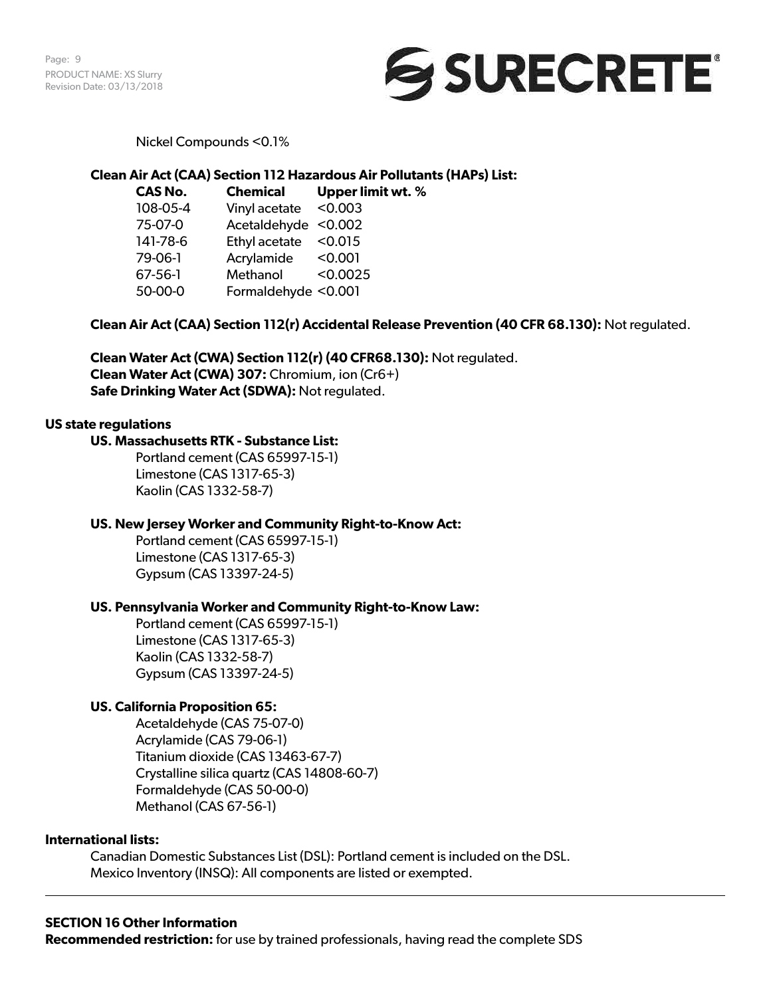Page: 9 PRODUCT NAME: XS Slurry Revision Date: 03/13/2018



Nickel Compounds <0.1%

# **Clean Air Act (CAA) Section 112 Hazardous Air Pollutants (HAPs) List:**

**CAS No. Chemical Upper limit wt. %**  108-05-4 Vinyl acetate <0.003 75-07-0 Acetaldehyde <0.002 141-78-6 Ethyl acetate <0.015 79-06-1 Acrylamide <0.001 67-56-1 Methanol <0.0025 50-00-0 Formaldehyde <0.001

# **Clean Air Act (CAA) Section 112(r) Accidental Release Prevention (40 CFR 68.130):** Not regulated.

**Clean Water Act (CWA) Section 112(r) (40 CFR68.130):** Not regulated. **Clean Water Act (CWA) 307:** Chromium, ion (Cr6+) **Safe Drinking Water Act (SDWA):** Not regulated.

#### **US state regulations**

#### **US. Massachusetts RTK - Substance List:**

Portland cement (CAS 65997-15-1) Limestone (CAS 1317-65-3) Kaolin (CAS 1332-58-7)

#### **US. New Jersey Worker and Community Right-to-Know Act:**

Portland cement (CAS 65997-15-1) Limestone (CAS 1317-65-3) Gypsum (CAS 13397-24-5)

#### **US. Pennsylvania Worker and Community Right-to-Know Law:**

Portland cement (CAS 65997-15-1) Limestone (CAS 1317-65-3) Kaolin (CAS 1332-58-7) Gypsum (CAS 13397-24-5)

# **US. California Proposition 65:**

Acetaldehyde (CAS 75-07-0) Acrylamide (CAS 79-06-1) Titanium dioxide (CAS 13463-67-7) Crystalline silica quartz (CAS 14808-60-7) Formaldehyde (CAS 50-00-0) Methanol (CAS 67-56-1)

#### **International lists:**

Canadian Domestic Substances List (DSL): Portland cement is included on the DSL. Mexico Inventory (INSQ): All components are listed or exempted.